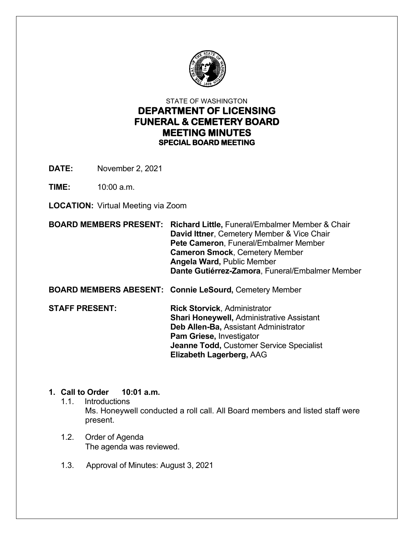

# STATE OF WASHINGTON **DEPARTMENT OF LICENSING FUNERAL & CEMETERY BOARD MEETING MINUTES SPECIAL BOARD MEETING**

**DATE:** November 2, 2021

**TIME:** 10:00 a.m.

**LOCATION:** Virtual Meeting via Zoom

**BOARD MEMBERS PRESENT: Richard Little,** Funeral/Embalmer Member & Chair **David Ittner**, Cemetery Member & Vice Chair  **Pete Cameron**, Funeral/Embalmer Member  **Cameron Smock**, Cemetery Member  **Angela Ward,** Public Member  **Dante Gutiérrez-Zamora**, Funeral/Embalmer Member

**BOARD MEMBERS ABESENT: Connie LeSourd,** Cemetery Member

**STAFF PRESENT: Rick Storvick**, Administrator  **Shari Honeywell,** Administrative Assistant **Deb Allen-Ba,** Assistant Administrator **Pam Griese,** Investigator **Jeanne Todd,** Customer Service Specialist **Elizabeth Lagerberg,** AAG

## **1. Call to Order 10:01 a.m.**

- 1.1. Introductions Ms. Honeywell conducted a roll call. All Board members and listed staff were present.
- 1.2. Order of Agenda The agenda was reviewed.
- 1.3. Approval of Minutes: August 3, 2021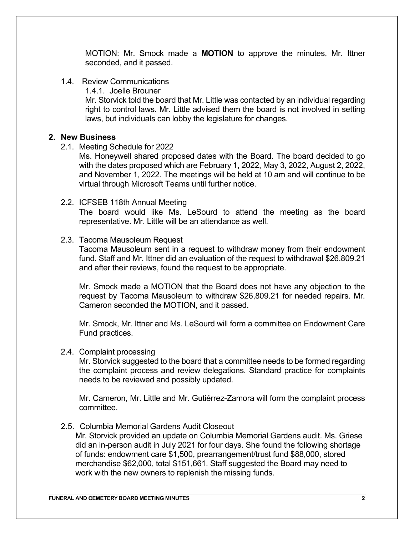MOTION: Mr. Smock made a **MOTION** to approve the minutes, Mr. Ittner seconded, and it passed.

- 1.4. Review Communications
	- 1.4.1. Joelle Brouner

Mr. Storvick told the board that Mr. Little was contacted by an individual regarding right to control laws. Mr. Little advised them the board is not involved in setting laws, but individuals can lobby the legislature for changes.

## **2. New Business**

2.1. Meeting Schedule for 2022

Ms. Honeywell shared proposed dates with the Board. The board decided to go with the dates proposed which are February 1, 2022, May 3, 2022, August 2, 2022, and November 1, 2022. The meetings will be held at 10 am and will continue to be virtual through Microsoft Teams until further notice.

2.2. ICFSEB 118th Annual Meeting

The board would like Ms. LeSourd to attend the meeting as the board representative. Mr. Little will be an attendance as well.

2.3. Tacoma Mausoleum Request

Tacoma Mausoleum sent in a request to withdraw money from their endowment fund. Staff and Mr. Ittner did an evaluation of the request to withdrawal \$26,809.21 and after their reviews, found the request to be appropriate.

Mr. Smock made a MOTION that the Board does not have any objection to the request by Tacoma Mausoleum to withdraw \$26,809.21 for needed repairs. Mr. Cameron seconded the MOTION, and it passed.

Mr. Smock, Mr. Ittner and Ms. LeSourd will form a committee on Endowment Care Fund practices.

#### 2.4. Complaint processing

Mr. Storvick suggested to the board that a committee needs to be formed regarding the complaint process and review delegations. Standard practice for complaints needs to be reviewed and possibly updated.

Mr. Cameron, Mr. Little and Mr. Gutiérrez-Zamora will form the complaint process committee.

2.5. Columbia Memorial Gardens Audit Closeout

Mr. Storvick provided an update on Columbia Memorial Gardens audit. Ms. Griese did an in-person audit in July 2021 for four days. She found the following shortage of funds: endowment care \$1,500, prearrangement/trust fund \$88,000, stored merchandise \$62,000, total \$151,661. Staff suggested the Board may need to work with the new owners to replenish the missing funds.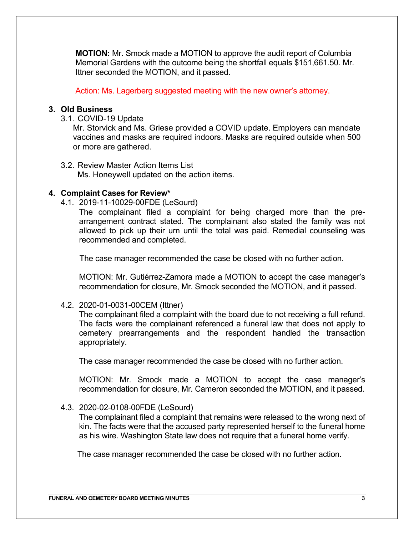**MOTION:** Mr. Smock made a MOTION to approve the audit report of Columbia Memorial Gardens with the outcome being the shortfall equals \$151,661.50. Mr. Ittner seconded the MOTION, and it passed.

Action: Ms. Lagerberg suggested meeting with the new owner's attorney.

## **3. Old Business**

3.1. COVID-19 Update

Mr. Storvick and Ms. Griese provided a COVID update. Employers can mandate vaccines and masks are required indoors. Masks are required outside when 500 or more are gathered.

3.2. Review Master Action Items List Ms. Honeywell updated on the action items.

## **4. Complaint Cases for Review\***

4.1. 2019-11-10029-00FDE (LeSourd)

The complainant filed a complaint for being charged more than the prearrangement contract stated. The complainant also stated the family was not allowed to pick up their urn until the total was paid. Remedial counseling was recommended and completed.

The case manager recommended the case be closed with no further action.

MOTION: Mr. Gutiérrez-Zamora made a MOTION to accept the case manager's recommendation for closure, Mr. Smock seconded the MOTION, and it passed.

4.2. 2020-01-0031-00CEM (Ittner)

The complainant filed a complaint with the board due to not receiving a full refund. The facts were the complainant referenced a funeral law that does not apply to cemetery prearrangements and the respondent handled the transaction appropriately.

The case manager recommended the case be closed with no further action.

MOTION: Mr. Smock made a MOTION to accept the case manager's recommendation for closure, Mr. Cameron seconded the MOTION, and it passed.

## 4.3. 2020-02-0108-00FDE (LeSourd)

The complainant filed a complaint that remains were released to the wrong next of kin. The facts were that the accused party represented herself to the funeral home as his wire. Washington State law does not require that a funeral home verify.

The case manager recommended the case be closed with no further action.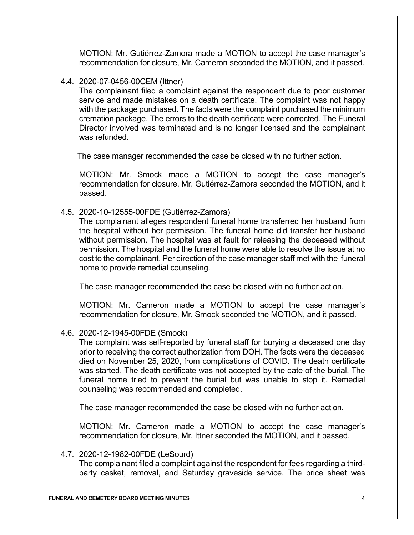MOTION: Mr. Gutiérrez-Zamora made a MOTION to accept the case manager's recommendation for closure, Mr. Cameron seconded the MOTION, and it passed.

## 4.4. 2020-07-0456-00CEM (Ittner)

The complainant filed a complaint against the respondent due to poor customer service and made mistakes on a death certificate. The complaint was not happy with the package purchased. The facts were the complaint purchased the minimum cremation package. The errors to the death certificate were corrected. The Funeral Director involved was terminated and is no longer licensed and the complainant was refunded.

The case manager recommended the case be closed with no further action.

MOTION: Mr. Smock made a MOTION to accept the case manager's recommendation for closure, Mr. Gutiérrez-Zamora seconded the MOTION, and it passed.

4.5. 2020-10-12555-00FDE (Gutiérrez-Zamora)

The complainant alleges respondent funeral home transferred her husband from the hospital without her permission. The funeral home did transfer her husband without permission. The hospital was at fault for releasing the deceased without permission. The hospital and the funeral home were able to resolve the issue at no cost to the complainant. Per direction of the case manager staff met with the funeral home to provide remedial counseling.

The case manager recommended the case be closed with no further action.

MOTION: Mr. Cameron made a MOTION to accept the case manager's recommendation for closure, Mr. Smock seconded the MOTION, and it passed.

## 4.6. 2020-12-1945-00FDE (Smock)

The complaint was self-reported by funeral staff for burying a deceased one day prior to receiving the correct authorization from DOH. The facts were the deceased died on November 25, 2020, from complications of COVID. The death certificate was started. The death certificate was not accepted by the date of the burial. The funeral home tried to prevent the burial but was unable to stop it. Remedial counseling was recommended and completed.

The case manager recommended the case be closed with no further action.

MOTION: Mr. Cameron made a MOTION to accept the case manager's recommendation for closure, Mr. Ittner seconded the MOTION, and it passed.

## 4.7. 2020-12-1982-00FDE (LeSourd)

The complainant filed a complaint against the respondent for fees regarding a thirdparty casket, removal, and Saturday graveside service. The price sheet was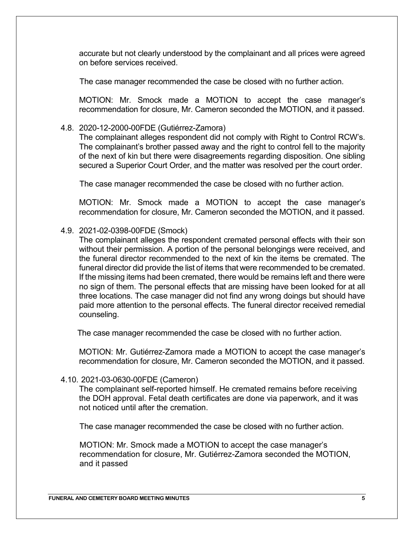accurate but not clearly understood by the complainant and all prices were agreed on before services received.

The case manager recommended the case be closed with no further action.

MOTION: Mr. Smock made a MOTION to accept the case manager's recommendation for closure, Mr. Cameron seconded the MOTION, and it passed.

## 4.8. 2020-12-2000-00FDE (Gutiérrez-Zamora)

The complainant alleges respondent did not comply with Right to Control RCW's. The complainant's brother passed away and the right to control fell to the majority of the next of kin but there were disagreements regarding disposition. One sibling secured a Superior Court Order, and the matter was resolved per the court order.

The case manager recommended the case be closed with no further action.

MOTION: Mr. Smock made a MOTION to accept the case manager's recommendation for closure, Mr. Cameron seconded the MOTION, and it passed.

## 4.9. 2021-02-0398-00FDE (Smock)

The complainant alleges the respondent cremated personal effects with their son without their permission. A portion of the personal belongings were received, and the funeral director recommended to the next of kin the items be cremated. The funeral director did provide the list of items that were recommended to be cremated. If the missing items had been cremated, there would be remains left and there were no sign of them. The personal effects that are missing have been looked for at all three locations. The case manager did not find any wrong doings but should have paid more attention to the personal effects. The funeral director received remedial counseling.

The case manager recommended the case be closed with no further action.

MOTION: Mr. Gutiérrez-Zamora made a MOTION to accept the case manager's recommendation for closure, Mr. Cameron seconded the MOTION, and it passed.

#### 4.10. 2021-03-0630-00FDE (Cameron)

The complainant self-reported himself. He cremated remains before receiving the DOH approval. Fetal death certificates are done via paperwork, and it was not noticed until after the cremation.

The case manager recommended the case be closed with no further action.

MOTION: Mr. Smock made a MOTION to accept the case manager's recommendation for closure, Mr. Gutiérrez-Zamora seconded the MOTION, and it passed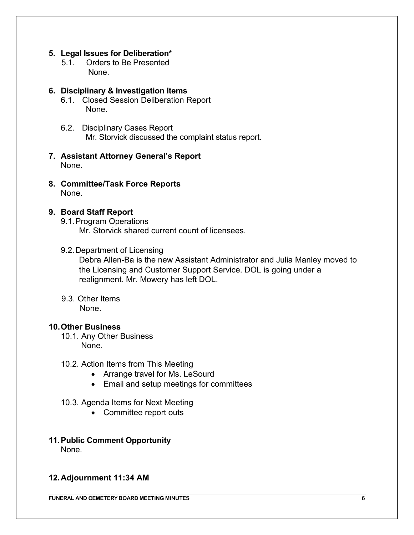## **5. Legal Issues for Deliberation\***

5.1. Orders to Be Presented None.

## **6. Disciplinary & Investigation Items**

- 6.1. Closed Session Deliberation Report None.
- 6.2. Disciplinary Cases Report Mr. Storvick discussed the complaint status report.
- **7. Assistant Attorney General's Report** None.
- **8. Committee/Task Force Reports** None.

## **9. Board Staff Report**

9.1.Program Operations

Mr. Storvick shared current count of licensees.

#### 9.2.Department of Licensing

Debra Allen-Ba is the new Assistant Administrator and Julia Manley moved to the Licensing and Customer Support Service. DOL is going under a realignment. Mr. Mowery has left DOL.

9.3. Other Items None.

#### **10.Other Business**

10.1. Any Other Business None.

#### 10.2. Action Items from This Meeting

- Arrange travel for Ms. LeSourd
- Email and setup meetings for committees

#### 10.3. Agenda Items for Next Meeting

• Committee report outs

#### **11.Public Comment Opportunity** None.

### **12.Adjournment 11:34 AM**

**FUNERAL AND CEMETERY BOARD MEETING MINUTES 6**